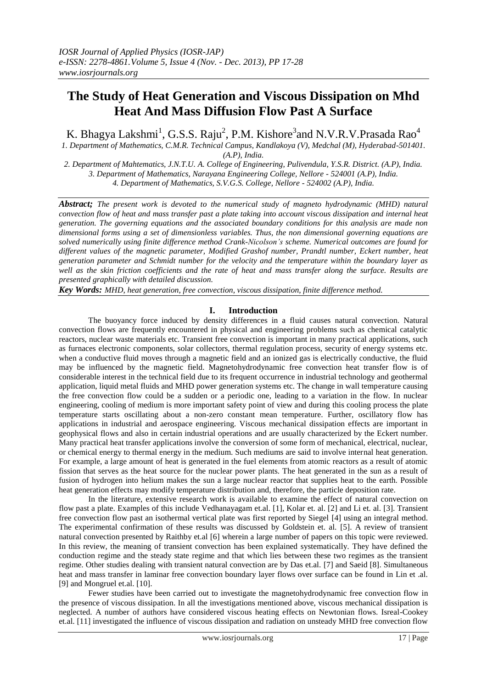# **The Study of Heat Generation and Viscous Dissipation on Mhd Heat And Mass Diffusion Flow Past A Surface**

K. Bhagya Lakshmi<sup>1</sup>, G.S.S. Raju<sup>2</sup>, P.M. Kishore<sup>3</sup>and N.V.R.V.Prasada Rao<sup>4</sup>

*1. Department of Mathematics, C.M.R. Technical Campus, Kandlakoya (V), Medchal (M), Hyderabad-501401. (A.P), India.*

*2. Department of Mahtematics, J.N.T.U. A. College of Engineering, Pulivendula, Y.S.R. District. (A.P), India. 3. Department of Mathematics, Narayana Engineering College, Nellore - 524001 (A.P), India. 4. Department of Mathematics, S.V.G.S. College, Nellore - 524002 (A.P), India.*

*Abstract; The present work is devoted to the numerical study of magneto hydrodynamic (MHD) natural convection flow of heat and mass transfer past a plate taking into account viscous dissipation and internal heat generation. The governing equations and the associated boundary conditions for this analysis are made non dimensional forms using a set of dimensionless variables. Thus, the non dimensional governing equations are solved numerically using finite difference method Crank-Nicolson's scheme. Numerical outcomes are found for different values of the magnetic parameter, Modified Grashof number, Prandtl number, Eckert number, heat generation parameter and Schmidt number for the velocity and the temperature within the boundary layer as well as the skin friction coefficients and the rate of heat and mass transfer along the surface. Results are presented graphically with detailed discussion.*

*Key Words: MHD, heat generation, free convection, viscous dissipation, finite difference method.*

## **I. Introduction**

The buoyancy force induced by density differences in a fluid causes natural convection. Natural convection flows are frequently encountered in physical and engineering problems such as chemical catalytic reactors, nuclear waste materials etc. Transient free convection is important in many practical applications, such as furnaces electronic components, solar collectors, thermal regulation process, security of energy systems etc. when a conductive fluid moves through a magnetic field and an ionized gas is electrically conductive, the fluid may be influenced by the magnetic field. Magnetohydrodynamic free convection heat transfer flow is of considerable interest in the technical field due to its frequent occurrence in industrial technology and geothermal application, liquid metal fluids and MHD power generation systems etc. The change in wall temperature causing the free convection flow could be a sudden or a periodic one, leading to a variation in the flow. In nuclear engineering, cooling of medium is more important safety point of view and during this cooling process the plate temperature starts oscillating about a non-zero constant mean temperature. Further, oscillatory flow has applications in industrial and aerospace engineering. Viscous mechanical dissipation effects are important in geophysical flows and also in certain industrial operations and are usually characterized by the Eckert number. Many practical heat transfer applications involve the conversion of some form of mechanical, electrical, nuclear, or chemical energy to thermal energy in the medium. Such mediums are said to involve internal heat generation. For example, a large amount of heat is generated in the fuel elements from atomic reactors as a result of atomic fission that serves as the heat source for the nuclear power plants. The heat generated in the sun as a result of fusion of hydrogen into helium makes the sun a large nuclear reactor that supplies heat to the earth. Possible heat generation effects may modify temperature distribution and, therefore, the particle deposition rate.

In the literature, extensive research work is available to examine the effect of natural convection on flow past a plate. Examples of this include Vedhanayagam et.al. [1], Kolar et. al. [2] and Li et. al. [3]. Transient free convection flow past an isothermal vertical plate was first reported by Siegel [4] using an integral method. The experimental confirmation of these results was discussed by Goldstein et. al. [5]. A review of transient natural convection presented by Raithby et.al [6] wherein a large number of papers on this topic were reviewed. In this review, the meaning of transient convection has been explained systematically. They have defined the conduction regime and the steady state regime and that which lies between these two regimes as the transient regime. Other studies dealing with transient natural convection are by Das et.al. [7] and Saeid [8]. Simultaneous heat and mass transfer in laminar free convection boundary layer flows over surface can be found in Lin et .al. [9] and Mongruel et.al. [10].

Fewer studies have been carried out to investigate the magnetohydrodynamic free convection flow in the presence of viscous dissipation. In all the investigations mentioned above, viscous mechanical dissipation is neglected. A number of authors have considered viscous heating effects on Newtonian flows. Isreal-Cookey et.al. [11] investigated the influence of viscous dissipation and radiation on unsteady MHD free convection flow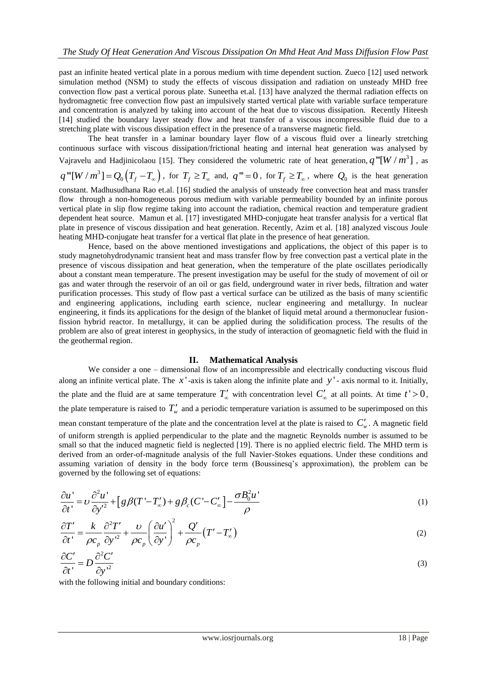past an infinite heated vertical plate in a porous medium with time dependent suction. Zueco [12] used network simulation method (NSM) to study the effects of viscous dissipation and radiation on unsteady MHD free convection flow past a vertical porous plate. Suneetha et.al. [13] have analyzed the thermal radiation effects on hydromagnetic free convection flow past an impulsively started vertical plate with variable surface temperature and concentration is analyzed by taking into account of the heat due to viscous dissipation. Recently Hiteesh [14] studied the boundary layer steady flow and heat transfer of a viscous incompressible fluid due to a stretching plate with viscous dissipation effect in the presence of a transverse magnetic field.

The heat transfer in a laminar boundary layer flow of a viscous fluid over a linearly stretching continuous surface with viscous dissipation/frictional heating and internal heat generation was analysed by Vajravelu and Hadjinicolaou [15]. They considered the volumetric rate of heat generation,  $q'''[W/m^3]$ , as

$$
q'''[W/m^3] = Q_0(T_f - T_\infty),
$$
 for  $T_f \ge T_\infty$  and,  $q''' = 0$ , for  $T_f \ge T_\infty$ , where  $Q_0$  is the heat generation

constant. Madhusudhana Rao et.al. [16] studied the analysis of unsteady free convection heat and mass transfer flow through a non-homogeneous porous medium with variable permeability bounded by an infinite porous vertical plate in slip flow regime taking into account the radiation, chemical reaction and temperature gradient dependent heat source. Mamun et al. [17] investigated MHD-conjugate heat transfer analysis for a vertical flat plate in presence of viscous dissipation and heat generation. Recently, Azim et al. [18] analyzed viscous Joule heating MHD-conjugate heat transfer for a vertical flat plate in the presence of heat generation.

Hence, based on the above mentioned investigations and applications, the object of this paper is to study magnetohydrodynamic transient heat and mass transfer flow by free convection past a vertical plate in the presence of viscous dissipation and heat generation, when the temperature of the plate oscillates periodically about a constant mean temperature. The present investigation may be useful for the study of movement of oil or gas and water through the reservoir of an oil or gas field, underground water in river beds, filtration and water purification processes. This study of flow past a vertical surface can be utilized as the basis of many scientific and engineering applications, including earth science, nuclear engineering and metallurgy. In nuclear engineering, it finds its applications for the design of the blanket of liquid metal around a thermonuclear fusionfission hybrid reactor. In metallurgy, it can be applied during the solidification process. The results of the problem are also of great interest in geophysics, in the study of interaction of geomagnetic field with the fluid in the geothermal region.

### **II. Mathematical Analysis**

We consider a one – dimensional flow of an incompressible and electrically conducting viscous fluid along an infinite vertical plate. The  $x'$ -axis is taken along the infinite plate and  $y'$ -axis normal to it. Initially, the plate and the fluid are at same temperature  $T'_{\infty}$  with concentration level  $C'_{\infty}$  at all points. At time  $t' > 0$ , the plate temperature is raised to  $T_w'$  and a periodic temperature variation is assumed to be superimposed on this mean constant temperature of the plate and the concentration level at the plate is raised to  $C'_{w}$ . A magnetic field of uniform strength is applied perpendicular to the plate and the magnetic Reynolds number is assumed to be small so that the induced magnetic field is neglected [19]. There is no applied electric field. The MHD term is derived from an order-of-magnitude analysis of the full Navier-Stokes equations. Under these conditions and assuming variation of density in the body force term (Boussinesq's approximation), the problem can be

governed by the following set of equations:  
\n
$$
\frac{\partial u'}{\partial t'} = \nu \frac{\partial^2 u'}{\partial y'^2} + \left[ g \beta (T' - T'_{\infty}) + g \beta_c (C' - C'_{\infty}) \right] - \frac{\sigma B_0^2 u'}{\rho}
$$
\n(1)

$$
\frac{\partial T'}{\partial t'} = \frac{k}{\rho c_p} \frac{\partial^2 T'}{\partial y'^2} + \frac{\nu}{\rho c_p} \left(\frac{\partial u'}{\partial y'}\right)^2 + \frac{Q'}{\rho c_p} \left(T' - T'_\infty\right)
$$
\n(2)

$$
\frac{\partial C'}{\partial t'} = D \frac{\partial^2 C'}{\partial y'^2} \tag{3}
$$

with the following initial and boundary conditions: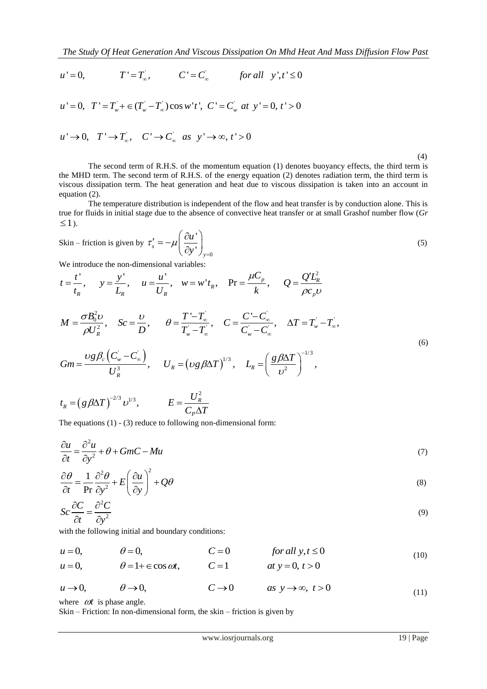The Study Of Heat Generation And Viscous Dissipation On Mhd Heat And Mass Diffusion Flow Past 
$$
u' = 0
$$
,  $T' = T_{\infty}$ ,  $C' = C_{\infty}$  for all  $y', t' \leq 0$ 

' ' ' ' ' 0, ' ( )cos ' ', ' ' 0, ' 0 *w w w u T T T T w t C C at y t* 

$$
u = 0, \quad T - T_w + \in (T_w - T_\infty) \cos w \ t, \quad C = C_w \ at \ y = 0,
$$
  

$$
u' \to 0, \quad T' \to T'_\infty, \quad C' \to C_\infty \ as \ y' \to \infty, \ t' > 0
$$

(4)

The second term of R.H.S. of the momentum equation (1) denotes buoyancy effects, the third term is the MHD term. The second term of R.H.S. of the energy equation (2) denotes radiation term, the third term is viscous dissipation term. The heat generation and heat due to viscous dissipation is taken into an account in equation (2).

The temperature distribution is independent of the flow and heat transfer is by conduction alone. This is true for fluids in initial stage due to the absence of convective heat transfer or at small Grashof number flow (*Gr*  $\leq$ 1).

$$
S\text{kin}-\text{friction is given by }\tau_s'=-\mu\left(\frac{\partial u'}{\partial y'}\right)_{y=0} \tag{5}
$$

We introduce the non-dimensional variables:

$$
\begin{aligned}\n\text{We introduced the non-dimensional variables:} \\
t &= \frac{t'}{t_R}, \quad y = \frac{y'}{L_R}, \quad u = \frac{u'}{U_R}, \quad w = w' t_R, \quad \text{Pr} = \frac{\mu C_p}{k}, \quad Q = \frac{Q' L_R^2}{\rho c_p v} \\
M &= \frac{\sigma B_0^2 v}{\rho U_R^2}, \quad Sc = \frac{v}{D}, \quad \theta = \frac{T' - T_\infty'}{T_\infty' - T_\infty'}, \quad C = \frac{C' - C_\infty'}{C_\infty' - C_\infty}, \quad \Delta T = T_\infty' - T_\infty', \\
Gm &= \frac{\nu g \beta_c (C_w' - C_\infty)}{U_R^3}, \quad U_R = (\nu g \beta \Delta T)^{1/3}, \quad L_R = \left(\frac{g \beta \Delta T}{v^2}\right)^{-1/3},\n\end{aligned}
$$
\n(6)

$$
t_R = (g \beta \Delta T)^{-2/3} \nu^{1/3},
$$
  $E = \frac{U_R^2}{C_P \Delta T}$ 

The equations (1) - (3) reduce to following non-dimensional form:

$$
\frac{\partial u}{\partial t} = \frac{\partial^2 u}{\partial y^2} + \theta + GmC - Mu \tag{7}
$$

$$
\frac{\partial \theta}{\partial t} = \frac{1}{\text{Pr}} \frac{\partial^2 \theta}{\partial y^2} + E \left( \frac{\partial u}{\partial y} \right)^2 + Q\theta \tag{8}
$$

$$
Sc\frac{\partial C}{\partial t} = \frac{\partial^2 C}{\partial y^2}
$$
 (9)

with the following initial and boundary conditions:

 $u = 0,$   $\theta = 0,$   $C = 0$  for all  $y, t \le 0$ <br>  $u = 0,$   $\theta = 1 + \epsilon \cos \omega t,$   $C = 1$  at  $y = 0, t > 0$  (10)  $\theta = 1 + \epsilon \cos \omega t$ ,  $C = 1$   $at \; y = 0, t > 0$ 

$$
u \to 0,
$$
  $\theta \to 0,$   $C \to 0$  as  $y \to \infty$ ,  $t > 0$  (11)

where  $\omega t$  is phase angle.

Skin – Friction: In non-dimensional form, the skin – friction is given by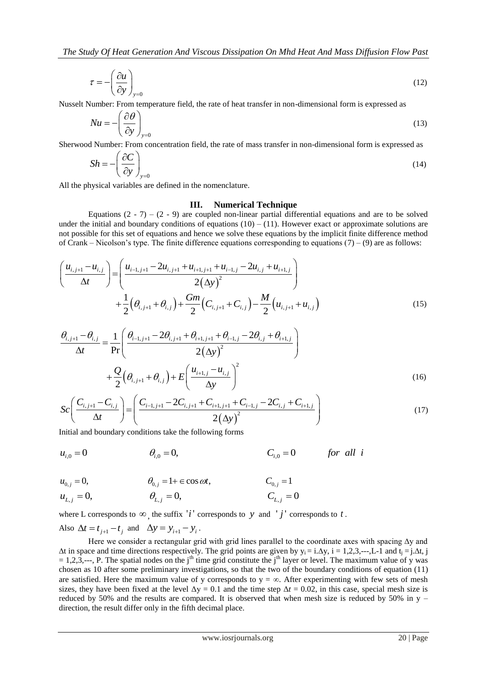$$
\tau = -\left(\frac{\partial u}{\partial y}\right)_{y=0} \tag{12}
$$

Nusselt Number: From temperature field, the rate of heat transfer in non-dimensional form is expressed as

$$
Nu = -\left(\frac{\partial \theta}{\partial y}\right)_{y=0} \tag{13}
$$

Sherwood Number: From concentration field, the rate of mass transfer in non-dimensional form is expressed as

$$
Sh = -\left(\frac{\partial C}{\partial y}\right)_{y=0} \tag{14}
$$

All the physical variables are defined in the nomenclature.

#### **III. Numerical Technique**

Equations  $(2 - 7) - (2 - 9)$  are coupled non-linear partial differential equations and are to be solved under the initial and boundary conditions of equations  $(10) - (11)$ . However exact or approximate solutions are not possible for this set of equations and hence we solve these equations by the implicit finite difference method

not possible for this set of equations and hence we solve these equations by the implement finite difference function  
of Crank – Nicolson's type. The finite difference equations corresponding to equations (7) – (9) are as follows:  

$$
\left(\frac{u_{i,j+1} - u_{i,j}}{\Delta t}\right) = \left(\frac{u_{i-1,j+1} - 2u_{i,j+1} + u_{i+1,j+1} + u_{i-1,j} - 2u_{i,j} + u_{i+1,j}}{2(\Delta y)^2}\right) + \frac{1}{2}\left(\theta_{i,j+1} + \theta_{i,j}\right) + \frac{Gm}{2}\left(C_{i,j+1} + C_{i,j}\right) - \frac{M}{2}\left(u_{i,j+1} + u_{i,j}\right)
$$
(15)

$$
+\frac{1}{2}(U_{i,j+1} + U_{i,j}) + \frac{1}{2}(U_{i,j+1} + U_{i,j}) - \frac{1}{2}(U_{i,j+1} + U_{i,j})
$$
\n
$$
\frac{\theta_{i,j+1} - \theta_{i,j}}{\Delta t} = \frac{1}{\Pr} \left( \frac{\theta_{i-1,j+1} - 2\theta_{i,j+1} + \theta_{i+1,j+1} + \theta_{i-1,j} - 2\theta_{i,j} + \theta_{i+1,j}}{2(\Delta y)^2} \right) + \frac{Q}{2} \left( \theta_{i,j+1} + \theta_{i,j} \right) + E \left( \frac{u_{i+1,j} - u_{i,j}}{\Delta y} \right)^2
$$
\n
$$
Sc \left( \frac{C_{i,j+1} - C_{i,j}}{2} \right) = \left( \frac{C_{i-1,j+1} - 2C_{i,j+1} + C_{i+1,j+1} + C_{i-1,j} - 2C_{i,j} + C_{i+1,j}}{2} \right)
$$
\n(17)

$$
+ \frac{1}{2} (\theta_{i,j+1} + \theta_{i,j}) + E\left(\frac{\Delta y}{\Delta y}\right)
$$
\n
$$
Sc\left(\frac{C_{i,j+1} - C_{i,j}}{\Delta t}\right) = \left(\frac{C_{i-1,j+1} - 2C_{i,j+1} + C_{i+1,j+1} + C_{i-1,j} - 2C_{i,j} + C_{i+1,j}}{2(\Delta y)^2}\right)
$$
\nInitial and boundary conditions take the following forms\n
$$
u_{i,0} = 0 \qquad \theta_{i,0} = 0, \qquad C_{i,0} = 0 \qquad \text{for all } i
$$
\n(17)

Initial and boundary conditions take the following forms

$$
u_{i,0} = 0
$$
  $\theta_{i,0} = 0$ ,  $C_{i,0} = 0$  for all i

$$
u_{i,0} = 0 \t\t \theta_{i,0} = 0, \t\t C_{i,0} = 0 \t\t 3
$$
  
\n
$$
u_{0,j} = 0, \t\t \theta_{0,j} = 1 + \epsilon \cos \omega t, \t\t C_{0,j} = 1
$$
  
\n
$$
u_{L,j} = 0, \t\t \theta_{L,j} = 0, \t\t C_{L,j} = 0
$$

$$
u_{L,j} = 0, \t\t \theta_{L,j} = 0, \t\t C_{L,j} = 0
$$

where L corresponds to  $\infty$ , the suffix '*i*' corresponds to y and '*j*' corresponds to t.

Also  $\Delta t = t_{j+1} - t_j$  and  $\Delta y = y_{i+1} - y_i$ .

Here we consider a rectangular grid with grid lines parallel to the coordinate axes with spacing ∆y and  $\Delta t$  in space and time directions respectively. The grid points are given by  $y_i = i.\Delta y$ ,  $i = 1,2,3,...,L-1$  and  $t_i = i.\Delta t$ ,  $i = 1,2,...,L-1$  $= 1,2,3,..., P$ . The spatial nodes on the j<sup>th</sup> time grid constitute the j<sup>th</sup> layer or level. The maximum value of y was chosen as 10 after some preliminary investigations, so that the two of the boundary conditions of equation (11) are satisfied. Here the maximum value of y corresponds to  $y = \infty$ . After experimenting with few sets of mesh sizes, they have been fixed at the level  $\Delta y = 0.1$  and the time step  $\Delta t = 0.02$ , in this case, special mesh size is reduced by 50% and the results are compared. It is observed that when mesh size is reduced by 50% in  $y$ direction, the result differ only in the fifth decimal place.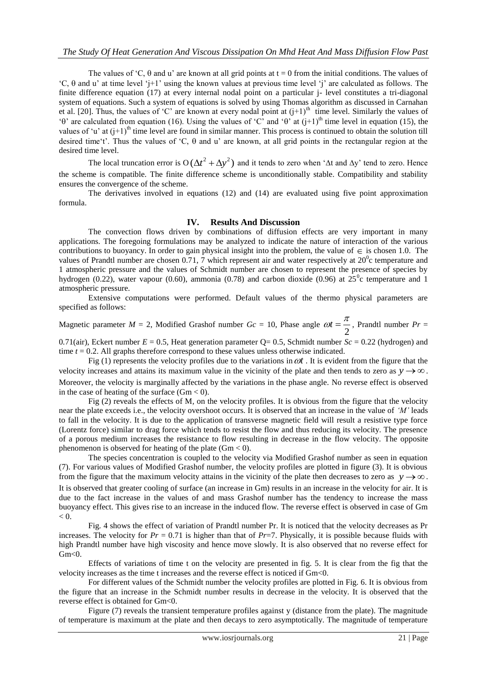The values of 'C,  $\theta$  and u' are known at all grid points at  $t = 0$  from the initial conditions. The values of 'C,  $\theta$  and u' at time level 'j+1' using the known values at previous time level 'j' are calculated as follows. The finite difference equation (17) at every internal nodal point on a particular j- level constitutes a tri-diagonal system of equations. Such a system of equations is solved by using Thomas algorithm as discussed in Carnahan et al. [20]. Thus, the values of 'C' are known at every nodal point at  $(j+1)$ <sup>th</sup> time level. Similarly the values of ' $\theta$ ' are calculated from equation (16). Using the values of 'C' and ' $\theta$ ' at (j+1)<sup>th</sup> time level in equation (15), the values of 'u' at  $(i+1)^{th}$  time level are found in similar manner. This process is continued to obtain the solution till desired time't'. Thus the values of 'C,  $\theta$  and u' are known, at all grid points in the rectangular region at the desired time level.

The local truncation error is  $O(\Delta t^2 + \Delta y^2)$  and it tends to zero when ' $\Delta t$  and  $\Delta y$ ' tend to zero. Hence the scheme is compatible. The finite difference scheme is unconditionally stable. Compatibility and stability ensures the convergence of the scheme.

 The derivatives involved in equations (12) and (14) are evaluated using five point approximation formula.

#### **IV. Results And Discussion**

The convection flows driven by combinations of diffusion effects are very important in many applications. The foregoing formulations may be analyzed to indicate the nature of interaction of the various contributions to buoyancy. In order to gain physical insight into the problem, the value of  $\in$  is chosen 1.0. The values of Prandtl number are chosen 0.71, 7 which represent air and water respectively at  $20^{\circ}$ c temperature and 1 atmospheric pressure and the values of Schmidt number are chosen to represent the presence of species by hydrogen (0.22), water vapour (0.60), ammonia (0.78) and carbon dioxide (0.96) at  $25^{\circ}$ c temperature and 1 atmospheric pressure.

Extensive computations were performed. Default values of the thermo physical parameters are specified as follows:

Magnetic parameter  $M = 2$ , Modified Grashof number  $Gc = 10$ , Phase angle  $\omega t = \frac{12}{2}$  $\omega t = \frac{\pi}{2}$ , Prandtl number *Pr* =

0.71(air), Eckert number  $E = 0.5$ , Heat generation parameter  $Q = 0.5$ , Schmidt number  $Sc = 0.22$  (hydrogen) and time  $t = 0.2$ . All graphs therefore correspond to these values unless otherwise indicated.

Fig  $(1)$  represents the velocity profiles due to the variations in  $\omega t$ . It is evident from the figure that the velocity increases and attains its maximum value in the vicinity of the plate and then tends to zero as  $y \rightarrow \infty$ . Moreover, the velocity is marginally affected by the variations in the phase angle. No reverse effect is observed in the case of heating of the surface  $(Gm < 0)$ .

Fig (2) reveals the effects of M*,* on the velocity profiles. It is obvious from the figure that the velocity near the plate exceeds i.e., the velocity overshoot occurs. It is observed that an increase in the value of *'M'* leads to fall in the velocity. It is due to the application of transverse magnetic field will result a resistive type force (Lorentz force) similar to drag force which tends to resist the flow and thus reducing its velocity. The presence of a porous medium increases the resistance to flow resulting in decrease in the flow velocity. The opposite phenomenon is observed for heating of the plate ( $Gm < 0$ ).

The species concentration is coupled to the velocity via Modified Grashof number as seen in equation (7). For various values of Modified Grashof number, the velocity profiles are plotted in figure (3). It is obvious from the figure that the maximum velocity attains in the vicinity of the plate then decreases to zero as  $y \rightarrow \infty$ . It is observed that greater cooling of surface (an increase in Gm) results in an increase in the velocity for air. It is due to the fact increase in the values of and mass Grashof number has the tendency to increase the mass buoyancy effect. This gives rise to an increase in the induced flow. The reverse effect is observed in case of Gm  $< 0$ .

Fig. 4 shows the effect of variation of Prandtl number Pr. It is noticed that the velocity decreases as Pr increases. The velocity for  $Pr = 0.71$  is higher than that of  $Pr=7$ . Physically, it is possible because fluids with high Prandtl number have high viscosity and hence move slowly. It is also observed that no reverse effect for  $Gm<0$ .

Effects of variations of time t on the velocity are presented in fig. 5. It is clear from the fig that the velocity increases as the time t increases and the reverse effect is noticed if Gm<0.

For different values of the Schmidt number the velocity profiles are plotted in Fig. 6. It is obvious from the figure that an increase in the Schmidt number results in decrease in the velocity. It is observed that the reverse effect is obtained for Gm<0.

Figure (7) reveals the transient temperature profiles against y (distance from the plate). The magnitude of temperature is maximum at the plate and then decays to zero asymptotically. The magnitude of temperature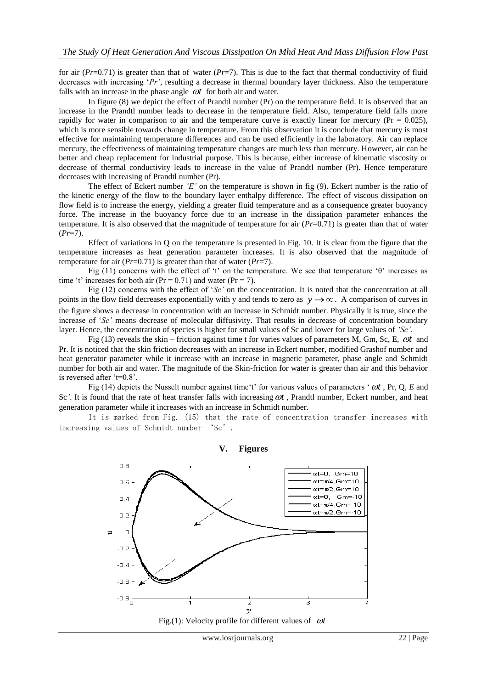for air (*Pr*=0.71) is greater than that of water (*Pr*=7). This is due to the fact that thermal conductivity of fluid decreases with increasing '*Pr'*, resulting a decrease in thermal boundary layer thickness. Also the temperature falls with an increase in the phase angle  $\omega t$  for both air and water.

In figure (8) we depict the effect of Prandtl number (Pr) on the temperature field. It is observed that an increase in the Prandtl number leads to decrease in the temperature field. Also, temperature field falls more rapidly for water in comparison to air and the temperature curve is exactly linear for mercury ( $Pr = 0.025$ ), which is more sensible towards change in temperature. From this observation it is conclude that mercury is most effective for maintaining temperature differences and can be used efficiently in the laboratory. Air can replace mercury, the effectiveness of maintaining temperature changes are much less than mercury. However, air can be better and cheap replacement for industrial purpose. This is because, either increase of kinematic viscosity or decrease of thermal conductivity leads to increase in the value of Prandtl number (Pr). Hence temperature decreases with increasing of Prandtl number (Pr).

The effect of Eckert number *'E'* on the temperature is shown in fig (9). Eckert number is the ratio of the kinetic energy of the flow to the boundary layer enthalpy difference. The effect of viscous dissipation on flow field is to increase the energy, yielding a greater fluid temperature and as a consequence greater buoyancy force. The increase in the buoyancy force due to an increase in the dissipation parameter enhances the temperature. It is also observed that the magnitude of temperature for air (*Pr*=0.71) is greater than that of water (*Pr*=7).

Effect of variations in Q on the temperature is presented in Fig. 10. It is clear from the figure that the temperature increases as heat generation parameter increases. It is also observed that the magnitude of temperature for air  $(Pr=0.71)$  is greater than that of water  $(Pr=7)$ .

Fig (11) concerns with the effect of 't' on the temperature. We see that temperature 'θ' increases as time 't' increases for both air ( $Pr = 0.71$ ) and water ( $Pr = 7$ ).

Fig (12) concerns with the effect of '*Sc'* on the concentration. It is noted that the concentration at all points in the flow field decreases exponentially with y and tends to zero as  $y \rightarrow \infty$ . A comparison of curves in the figure shows a decrease in concentration with an increase in Schmidt number. Physically it is true, since the increase of '*Sc'* means decrease of molecular diffusivity. That results in decrease of concentration boundary layer. Hence, the concentration of species is higher for small values of Sc and lower for large values of *'Sc'*.

Fig (13) reveals the skin – friction against time t for varies values of parameters  $\dot{M}$ , Gm, Sc, E,  $\omega t$  and Pr. It is noticed that the skin friction decreases with an increase in Eckert number, modified Grashof number and heat generator parameter while it increase with an increase in magnetic parameter, phase angle and Schmidt number for both air and water. The magnitude of the Skin-friction for water is greater than air and this behavior is reversed after 't=0.8'.

Fig (14) depicts the Nusselt number against time't' for various values of parameters '  $\omega t$ , Pr, Q, E and Sc'. It is found that the rate of heat transfer falls with increasing  $\omega t$ , Prandtl number, Eckert number, and heat generation parameter while it increases with an increase in Schmidt number.

It is marked from Fig. (15) that the rate of concentration transfer increases with increasing values of Schmidt number 'Sc'.



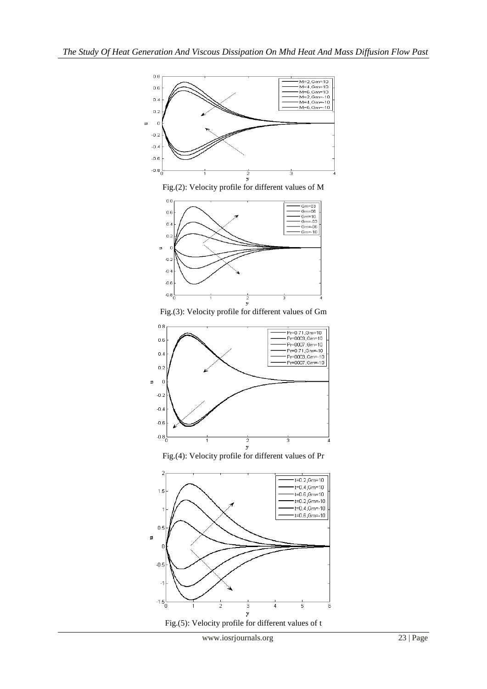

Fig.(2): Velocity profile for different values of M



Fig.(3): Velocity profile for different values of Gm



Fig.(4): Velocity profile for different values of Pr



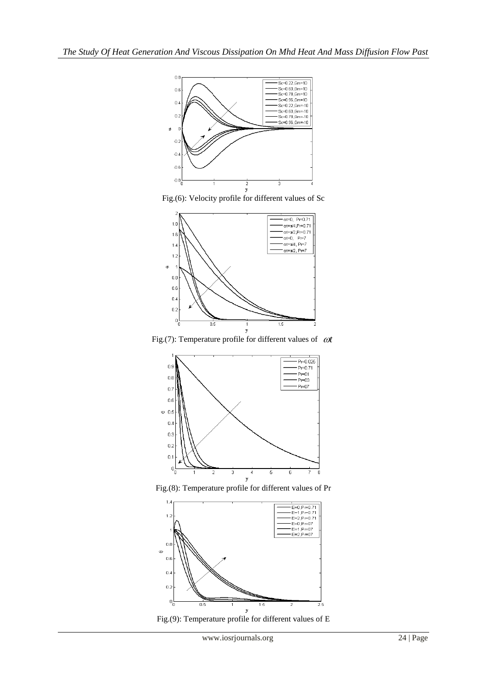

Fig.(6): Velocity profile for different values of Sc



Fig.(7): Temperature profile for different values of  $\omega t$ 



Fig.(8): Temperature profile for different values of Pr



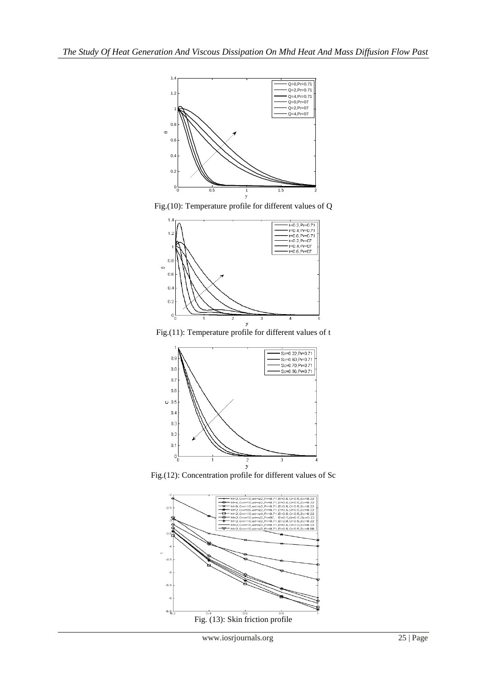

Fig.(10): Temperature profile for different values of Q



Fig.(11): Temperature profile for different values of t



Fig.(12): Concentration profile for different values of Sc

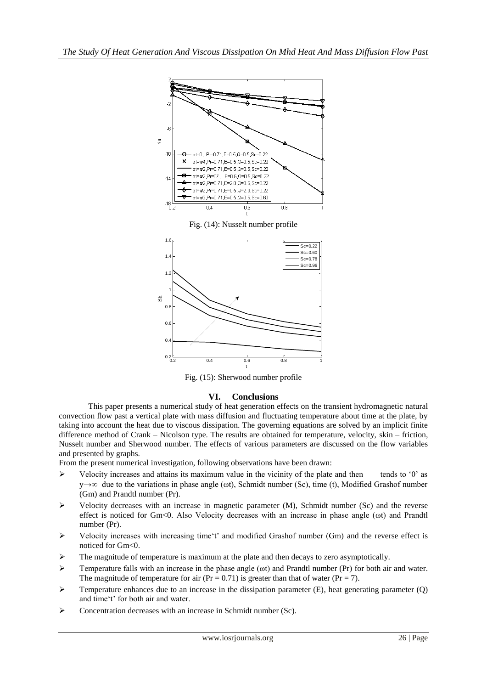

Fig. (14): Nusselt number profile



Fig. (15): Sherwood number profile

## **VI. Conclusions**

This paper presents a numerical study of heat generation effects on the transient hydromagnetic natural convection flow past a vertical plate with mass diffusion and fluctuating temperature about time at the plate, by taking into account the heat due to viscous dissipation. The governing equations are solved by an implicit finite difference method of Crank – Nicolson type. The results are obtained for temperature, velocity, skin – friction, Nusselt number and Sherwood number. The effects of various parameters are discussed on the flow variables and presented by graphs.

From the present numerical investigation, following observations have been drawn:

- $\triangleright$  Velocity increases and attains its maximum value in the vicinity of the plate and then tends to '0' as  $v \rightarrow \infty$  due to the variations in phase angle ( $\omega$ t), Schmidt number (Sc), time (t), Modified Grashof number (Gm) and Prandtl number (Pr).
- $\triangleright$  Velocity decreases with an increase in magnetic parameter (M), Schmidt number (Sc) and the reverse effect is noticed for Gm<0. Also Velocity decreases with an increase in phase angle (ωt) and Prandtl number (Pr).
- $\triangleright$  Velocity increases with increasing time't' and modified Grashof number (Gm) and the reverse effect is noticed for Gm<0.
- $\triangleright$  The magnitude of temperature is maximum at the plate and then decays to zero asymptotically.
- $\triangleright$  Temperature falls with an increase in the phase angle ( $\omega$ t) and Prandtl number (Pr) for both air and water. The magnitude of temperature for air (Pr = 0.71) is greater than that of water (Pr = 7).
- $\triangleright$  Temperature enhances due to an increase in the dissipation parameter (E), heat generating parameter (O) and time't' for both air and water.
- $\triangleright$  Concentration decreases with an increase in Schmidt number (Sc).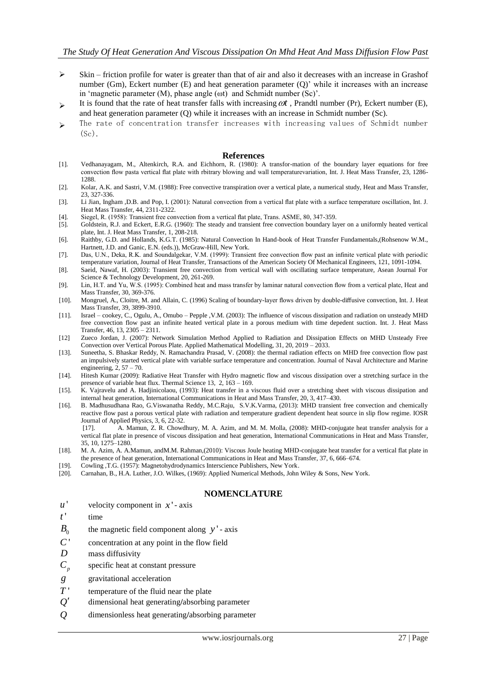- $\triangleright$  Skin friction profile for water is greater than that of air and also it decreases with an increase in Grashof number (Gm), Eckert number (E) and heat generation parameter (Q)' while it increases with an increase in 'magnetic parameter (M), phase angle (ωt) and Schmidt number (Sc)'.
- > It is found that the rate of heat transfer falls with increasing  $\omega t$ , Prandtl number (Pr), Eckert number (E), and heat generation parameter (Q) while it increases with an increase in Schmidt number (Sc).
- The rate of concentration transfer increases with increasing values of Schmidt number  $(S<sub>c</sub>)$ .

#### **References**

- [1]. Vedhanayagam, M., Altenkirch, R.A. and Eichhorn, R. (1980): A transfor-mation of the boundary layer equations for free convection flow pasta vertical flat plate with rbitrary blowing and wall temperaturevariation, Int. J. Heat Mass Transfer, 23, 1286- 1288.
- [2]. Kolar, A.K. and Sastri, V.M. (1988): Free convective transpiration over a vertical plate, a numerical study, Heat and Mass Transfer, 23, 327-336.
- [3]. Li Jian, Ingham ,D.B. and Pop, I. (2001): Natural convection from a vertical flat plate with a surface temperature oscillation, Int. J. Heat Mass Transfer, 44, 2311-2322.
- [4]. Siegel, R. (1958): Transient free convection from a vertical flat plate, Trans. ASME, 80, 347-359.
- [5]. Goldstein, R.J. and Eckert, E.R.G. (1960): The steady and transient free convection boundary layer on a uniformly heated vertical plate, Int. J. Heat Mass Transfer, 1, 208-218.
- [6]. Raithby, G.D. and Hollands, K.G.T. (1985): Natural Convection In Hand-book of Heat Transfer Fundamentals,(Rohsenow W.M., Hartnett, J.D. and Ganic, E.N. (eds.)), McGraw-Hill, New York.
- [7]. Das, U.N., Deka, R.K. and Soundalgekar, V.M. (1999): Transient free convection flow past an infinite vertical plate with periodic temperature variation, Journal of Heat Transfer, Transactions of the American Society Of Mechanical Engineers, 121, 1091-1094.
- [8]. Saeid, Nawaf, H. (2003): Transient free convection from vertical wall with oscillating surface temperature, Asean Journal For Science & Technology Development, 20, 261-269.
- [9]. Lin, H.T. and Yu, W.S. (1995): Combined heat and mass transfer by laminar natural convection flow from a vertical plate, Heat and Mass Transfer, 30, 369-376.
- [10]. Mongruel, A., Cloitre, M. and Allain, C. (1996) Scaling of boundary-layer flows driven by double-diffusive convection, Int. J. Heat Mass Transfer, 39, 3899-3910.
- [11]. Israel cookey, C., Ogulu, A., Omubo Pepple ,V.M. (2003): The influence of viscous dissipation and radiation on unsteady MHD free convection flow past an infinite heated vertical plate in a porous medium with time depedent suction. Int. J. Heat Mass Transfer, 46, 13, 2305 – 2311.
- [12] Zueco Jordan, J. (2007): Network Simulation Method Applied to Radiation and Dissipation Effects on MHD Unsteady Free Convection over Vertical Porous Plate. Applied Mathematical Modelling, 31, 20, 2019 – 2033.
- [13]. Suneetha, S. Bhaskar Reddy, N. Ramachandra Prasad, V. (2008): the thermal radiation effects on MHD free convection flow past an impulsively started vertical plate with variable surface temperature and concentration. Journal of Naval Architecture and Marine engineering,  $2, 57 - 70$ .
- [14]. Hitesh Kumar (2009): Radiative Heat Transfer with Hydro magnetic flow and viscous dissipation over a stretching surface in the presence of variable heat flux. Thermal Science 13, 2, 163 – 169.
- [15]. K. Vajravelu and A. Hadjinicolaou, (1993): Heat transfer in a viscous fluid over a stretching sheet with viscous dissipation and internal heat generation, International Communications in Heat and Mass Transfer, 20, 3, 417–430.
- [16]. B. Madhusudhana Rao, G.Viswanatha Reddy, M.C.Raju, S.V.K.Varma, (2013): MHD transient free convection and chemically reactive flow past a porous vertical plate with radiation and temperature gradient dependent heat source in slip flow regime. IOSR Journal of Applied Physics, 3, 6, 22-32.
	- [17]. A. Mamun, Z. R. Chowdhury, M. A. Azim, and M. M. Molla, (2008): MHD-conjugate heat transfer analysis for a vertical flat plate in presence of viscous dissipation and heat generation, International Communications in Heat and Mass Transfer, 35, 10, 1275–1280.
- [18]. M. A. Azim, A. A.Mamun, andM.M. Rahman,(2010): Viscous Joule heating MHD-conjugate heat transfer for a vertical flat plate in the presence of heat generation, International Communications in Heat and Mass Transfer, 37, 6, 666–674.
- [19]. Cowling ,T.G. (1957): Magnetohydrodynamics Interscience Publishers, New York.
- [20]. Carnahan, B., H.A. Luther, J.O. Wilkes, (1969): Applied Numerical Methods, John Wiley & Sons, New York.

## **NOMENCLATURE**

- *u* ' velocity component in  $x'$  - axis
- *t* ' time
- $B_0$ the magnetic field component along  $y'$  - axis
- *C* ' concentration at any point in the flow field
- *D* mass diffusivity
- $C_p$ specific heat at constant pressure
- *g* gravitational acceleration
- *T* ' temperature of the fluid near the plate
- *Q* dimensional heat generating**/**absorbing parameter
- *Q* dimensionless heat generating**/**absorbing parameter